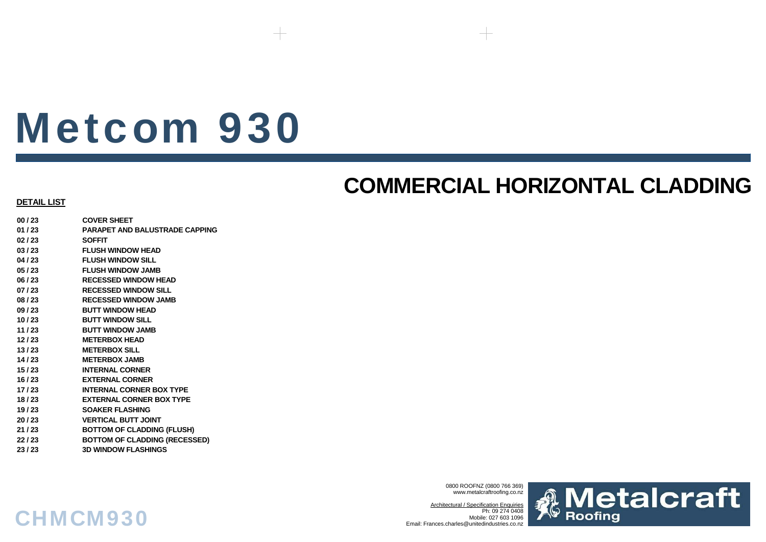# Metcom 930

# **COMMERCIAL HORIZONTAL CLADDING**

#### **DETAIL LIST**

**00 / 23 COVER SHEET01 / 23 PARAPET AND BALUSTRADE CAPPING02 / 23 SOFFIT03 / 23 FLUSH WINDOW HEAD04 / 23 FLUSH WINDOW SILL05 / 23 FLUSH WINDOW JAMB06 / 23 RECESSED WINDOW HEAD07 / 23 RECESSED WINDOW SILL08 / 23 RECESSED WINDOW JAMB09 / 23 BUTT WINDOW HEAD10 / 23 BUTT WINDOW SILL11 / 23 BUTT WINDOW JAMB12 / 23 METERBOX HEAD13 / 23 METERBOX SILL14 / 23 METERBOX JAMB 15 / 23 INTERNAL CORNER16 / 23 EXTERNAL CORNER17 / 23 INTERNAL CORNER BOX TYPE18 / 23 EXTERNAL CORNER BOX TYPE19 / 23 SOAKER FLASHING20 / 23 VERTICAL BUTT JOINT21 / 23 BOTTOM OF CLADDING (FLUSH) 22 / 23 BOTTOM OF CLADDING (RECESSED) 23 / 23 3D WINDOW FLASHINGS**

CHMCM930

0800 ROOFNZ (0800 766 369) www.metalcraftroofing.co.nz

Architectural / Specification Enquiries Ph: 09 274 0408 Mobile: 027 603 1096Email: Frances.charles@unitedindustries.co.nz

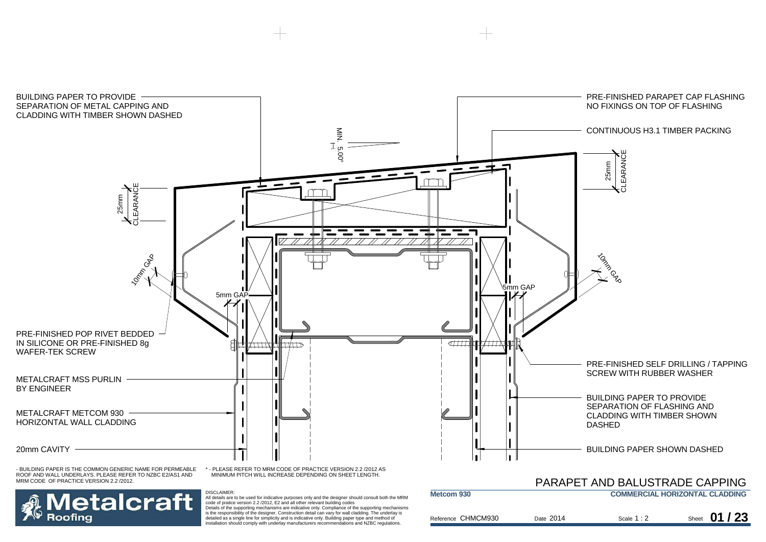

Reference

is the responsibility of the designer. Construction detail can vary for wall cladding. The underlay is detailed as a single line for simplicity and is indicative only. Building paper type and method of installation should comply with underlay manufacturers recommendations and NZBC regulations.

Roofing

| e CHMCM930 | Date 2014 | Scale $1:2$ | Sheet 01 / 23 |
|------------|-----------|-------------|---------------|
|            |           |             |               |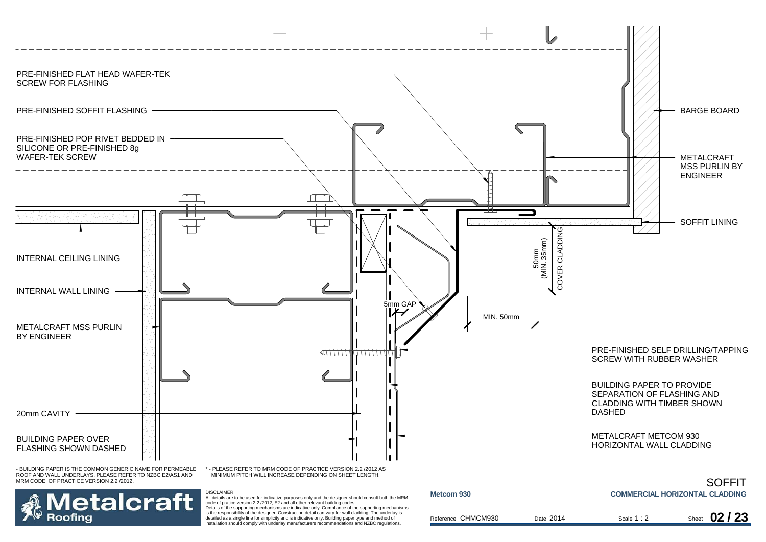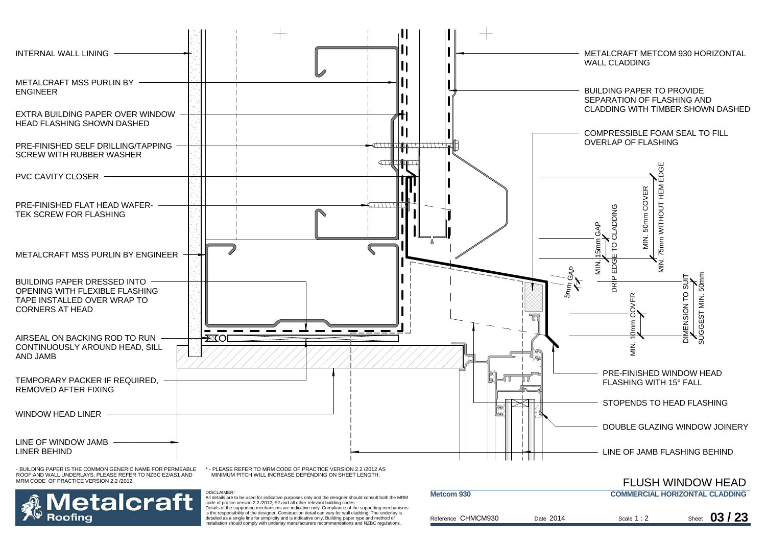

Ref

 All details are to be used for indicative purposes only and the designer should consult both the MRM code of pratice version 2.2 /2012, E2 and all other relevant building codes Details of the supporting mechanisms are indicative only. Compliance of the supporting mechanisms is the responsibility of the designer. Construction detail can vary for wall cladding. The underlay is detailed as a single line for simplicity and is indicative only. Building paper type and method of installation should comply with underlay manufacturers recommendations and NZBC regulations.

| tcom 930        |           | COMMERCIAL HORIZON LAL CLADDING |               |
|-----------------|-----------|---------------------------------|---------------|
| erence CHMCM930 | Date 2014 | Scale $1:2$                     | Sheet 03 / 23 |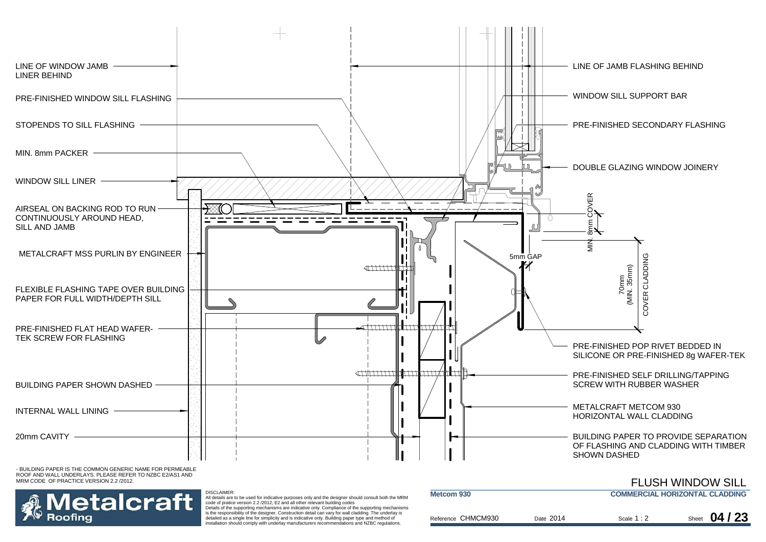

is the responsibility of the designer. Construction detail can vary for wall cladding. The underlay is detailed as a single line for simplicity and is indicative only. Building paper type and method of installation should comply with underlay manufacturers recommendations and NZBC regulations.

| Reference CHMCM930 | Date 2014 | Scale 1:2 | Sheet 04 / 23 |
|--------------------|-----------|-----------|---------------|
|                    |           |           |               |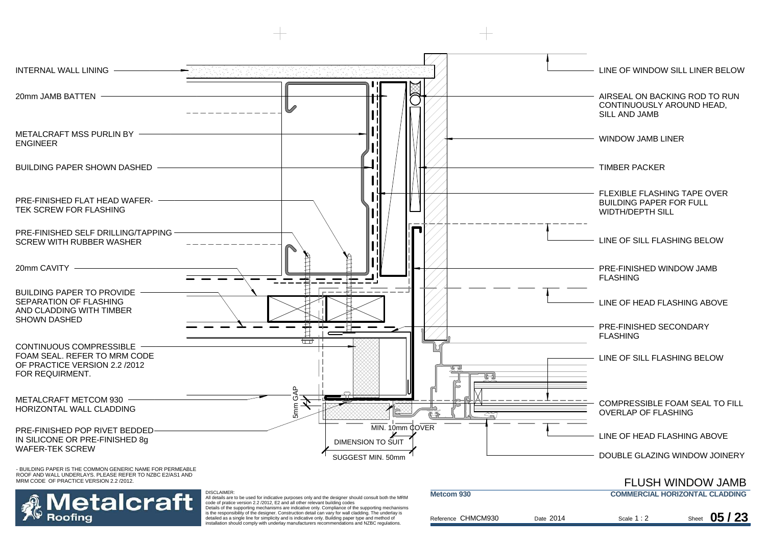

Details of the supporting mechanisms are indicative only. Compliance of the supporting mechanisms is the responsibility of the designer. Construction detail can vary for wall cladding. The underlay is detailed as a single line for simplicity and is indicative only. Building paper type and method of installation should comply with underlay manufacturers recommendations and NZBC regulations.

| Metcom 930         |           | <b>COMMERCIAL HORIZONTAL CLADDING</b> |               |
|--------------------|-----------|---------------------------------------|---------------|
| Reference CHMCM930 | Date 2014 | Scale $1:2$                           | Sheet 05 / 23 |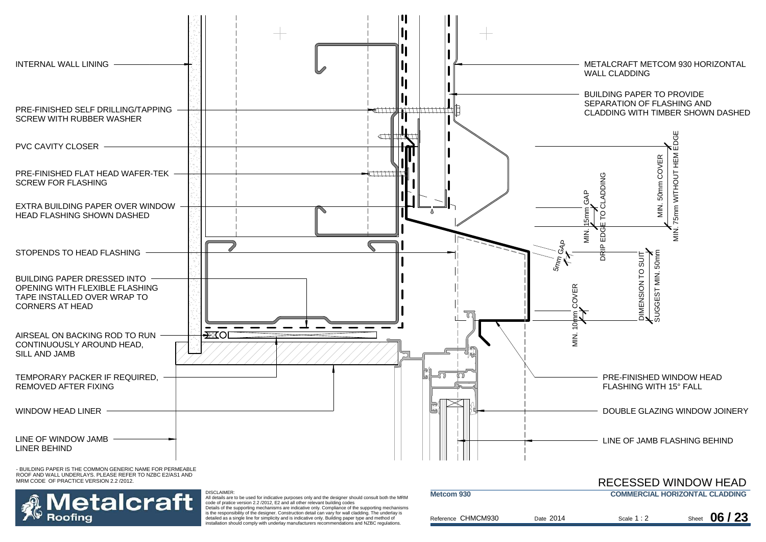

ROOF AND WALL UNDERLAYS. PLEASE REFER TO NZBC E2/AS1 AND MRM CODE OF PRACTICE VERSION 2.2 /2012.



All details are to be used for indicative purposes only and the designer should consult both the MRM code of pratice version 2.2 /2012, E2 and all other relevant building codes

DISCLAIMER:

Details of the supporting mechanisms are indicative only. Compliance of the supporting mechanisms is the responsibility of the designer. Construction detail can vary for wall cladding. The underlay is detailed as a single line for simplicity and is indicative only. Building paper type and method of installation should comply with underlay manufacturers recommendations and NZBC regulations.

|                    |           |             | <b>RECESSED WINDOW HEAD</b>           |
|--------------------|-----------|-------------|---------------------------------------|
| Metcom 930         |           |             | <b>COMMERCIAL HORIZONTAL CLADDING</b> |
| Reference CHMCM930 | Date 2014 | Scale $1:2$ | Sheet $06/23$                         |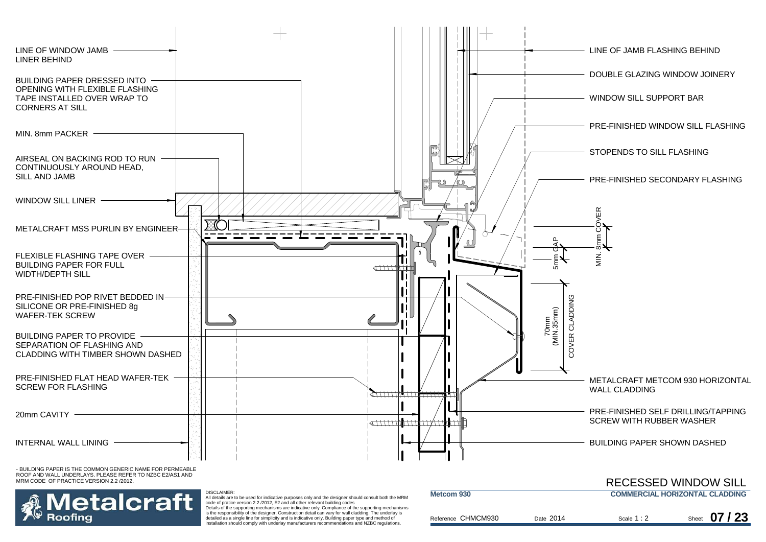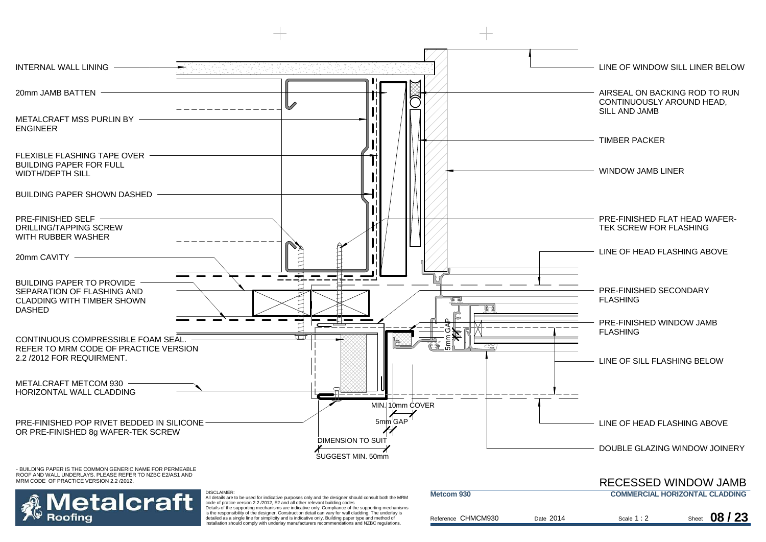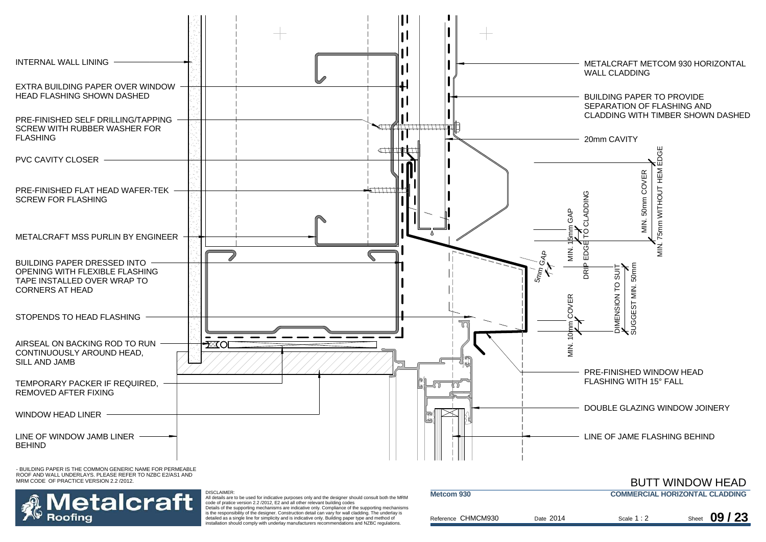

ROOF AND WALL UNDERLAYS. PLEASE REFER TO NZBC E2/AS1 AND MRM CODE OF PRACTICE VERSION 2.2 /2012.



DISCLAIMER:All details are to be used for indicative purposes only and the designer should consult both the MRM code of pratice version 2.2 /2012, E2 and all other relevant building codes

Details of the supporting mechanisms are indicative only. Compliance of the supporting mechanisms is the responsibility of the designer. Construction detail can vary for wall cladding. The underlay is detailed as a single line for simplicity and is indicative only. Building paper type and method of installation should comply with underlay manufacturers recommendations and NZBC regulations.

| Metcom 930         |           | <b>COMMERCIAL HORIZONTAL CLADDING</b> |               |
|--------------------|-----------|---------------------------------------|---------------|
| Reference CHMCM930 | Date 2014 | Scale $1:2$                           | Sheet 09 / 23 |

BUTT WINDOW HEAD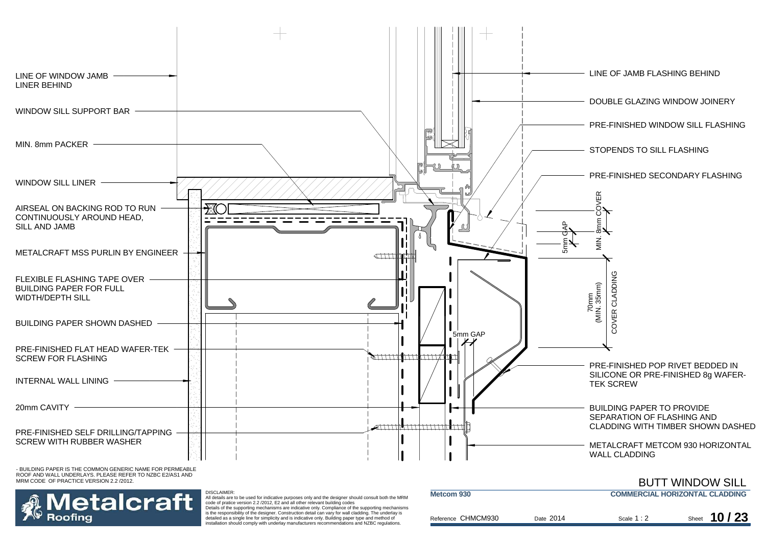

 $\frac{\text{Ref}}{\text{f}}$ 

is the responsibility of the designer. Construction detail can vary for wall cladding. The underlay is detailed as a single line for simplicity and is indicative only. Building paper type and method of installation should comply with underlay manufacturers recommendations and NZBC regulations.

| erence CHMCM930 | Date 2014 | Scale $1:2$ | Sheet | 10/23 |
|-----------------|-----------|-------------|-------|-------|
|                 |           |             |       |       |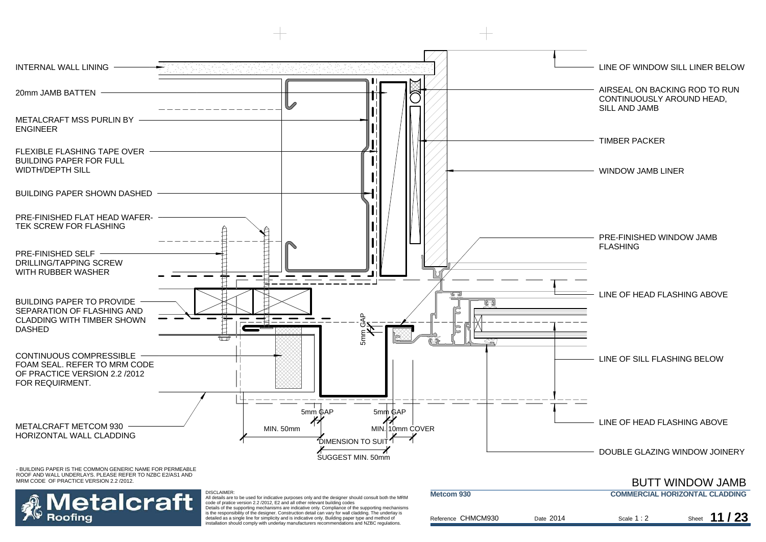

Details of the supporting mechanisms are indicative only. Compliance of the supporting mechanisms is the responsibility of the designer. Construction detail can vary for wall cladding. The underlay is detailed as a single line for simplicity and is indicative only. Building paper type and method of installation should comply with underlay manufacturers recommendations and NZBC regulations.

| <b>INIGLCOTTI APP</b> |           |             | COMMERCIAL HORIZON TAL CLADDING |
|-----------------------|-----------|-------------|---------------------------------|
| Reference CHMCM930    | Date 2014 | Scale $1:2$ | Sheet $11/23$                   |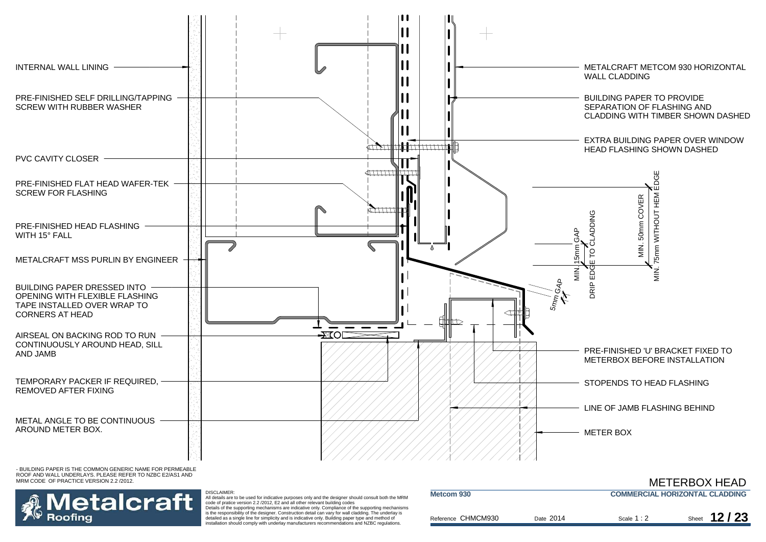

 $Re$ 

**Metcom 930**

- BUILDING PAPER IS THE COMMON GENERIC NAME FOR PERMEABLE ROOF AND WALL UNDERLAYS. PLEASE REFER TO NZBC E2/AS1 AND MRM CODE OF PRACTICE VERSION 2.2 /2012.



 All details are to be used for indicative purposes only and the designer should consult both the MRM code of pratice version 2.2 /2012, E2 and all other relevant building codes Details of the supporting mechanisms are indicative only. Compliance of the supporting mechanisms is the responsibility of the designer. Construction detail can vary for wall cladding. The underlay is detailed as a single line for simplicity and is indicative only. Building paper type and method of

installation should comply with underlay manufacturers recommendations and NZBC regulations.

DISCLAIMER:

| ference CHMCM930 | Date 2014 | Scale $1:2$ | Sheet |
|------------------|-----------|-------------|-------|

**COMMERCIAL HORIZONTAL CLADDING**

2 Sheet **12/23** 

METERBOX HEAD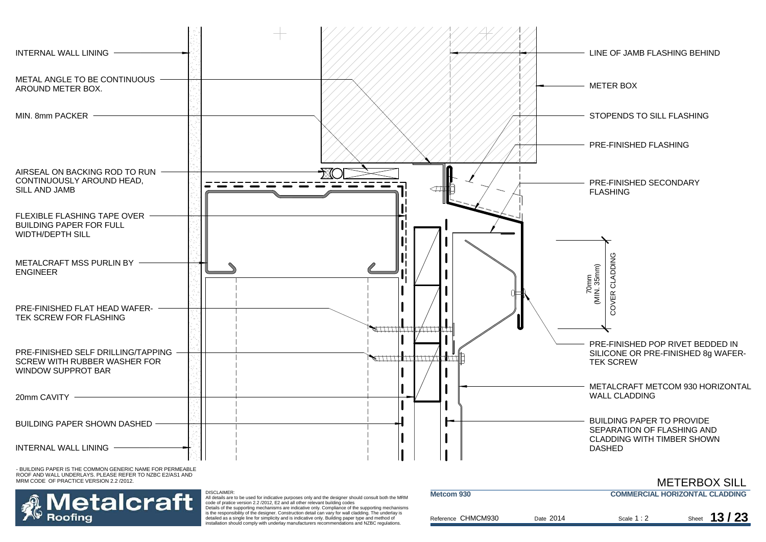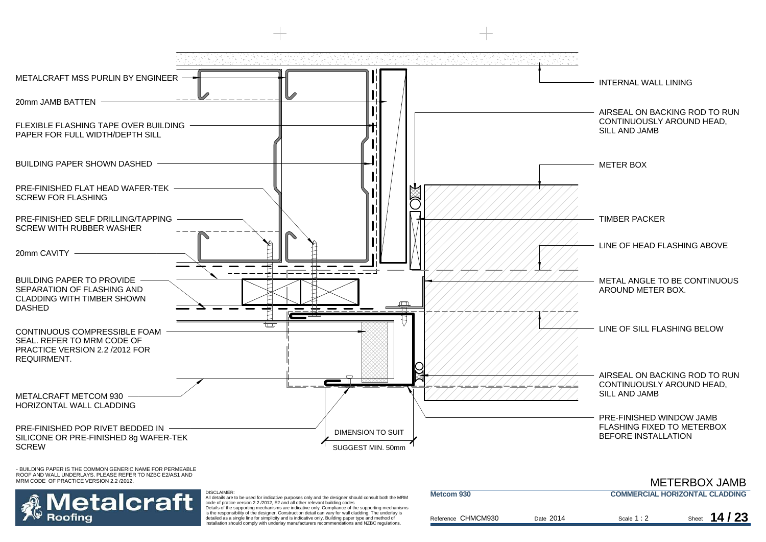

## etalcraft Roofina

 All details are to be used for indicative purposes only and the designer should consult both the MRM code of pratice version 2.2 /2012, E2 and all other relevant building codes Details of the supporting mechanisms are indicative only. Compliance of the supporting mechanisms

DISCLAIMER:

is the responsibility of the designer. Construction detail can vary for wall cladding. The underlay is detailed as a single line for simplicity and is indicative only. Building paper type and method of installation should comply with underlay manufacturers recommendations and NZBC regulations.

|                                                     |           |             | <b>METERBOX JAMB</b> |
|-----------------------------------------------------|-----------|-------------|----------------------|
| <b>COMMERCIAL HORIZONTAL CLADDING</b><br>Metcom 930 |           |             |                      |
|                                                     |           |             |                      |
| Reference CHMCM930                                  | Date 2014 | Scale $1:2$ | Sheet $14/23$        |

METERBOX JAMB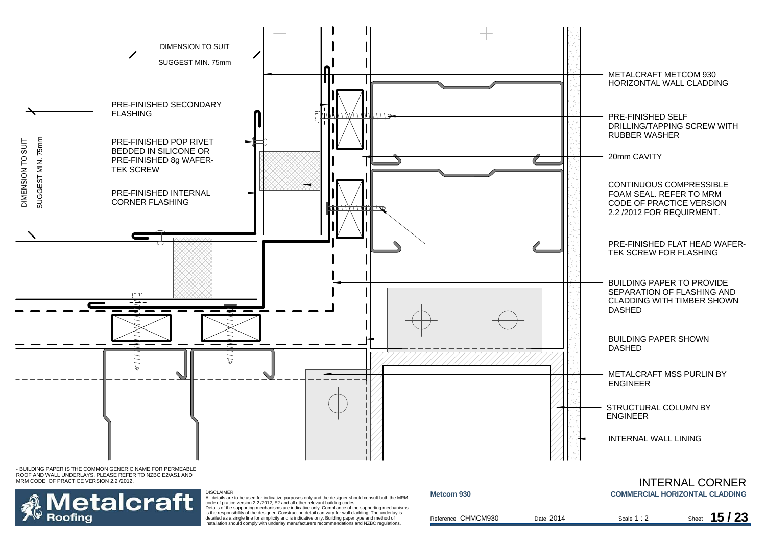



#### DISCLAIMER:

All details are to be used for indicative purposes only and the designer should consult both the MRM code of pratice version 2.2 /2012, E2 and all other relevant building codes Details of the supporting mechanisms are indicative only. Compliance of the supporting mechanisms

is the responsibility of the designer. Construction detail can vary for wall cladding. The underlay is detailed as a single line for simplicity and is indicative only. Building paper type and method of installation should comply with underlay manufacturers recommendations and NZBC regulations.

| Metcom 930         |           | <b>COMMERCIAL HORIZONTAL CLADDING</b> |                |
|--------------------|-----------|---------------------------------------|----------------|
| Reference CHMCM930 | Date 2014 | Scale $1:2$                           | 15/23<br>Sheet |

INTERNAL CORNER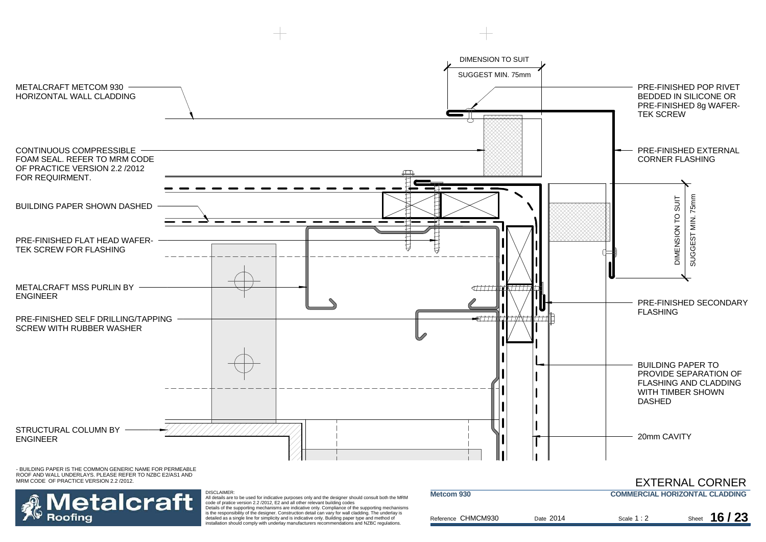



DISCLAIMER: All details are to be used for indicative purposes only and the designer should consult both the MRM code of pratice version 2.2 /2012, E2 and all other relevant building codes Details of the supporting mechanisms are indicative only. Compliance of the supporting mechanisms

is the responsibility of the designer. Construction detail can vary for wall cladding. The underlay is detailed as a single line for simplicity and is indicative only. Building paper type and method of installation should comply with underlay manufacturers recommendations and NZBC regulations.

|                    |           |                                       | LATLINNAL CONNEIN |
|--------------------|-----------|---------------------------------------|-------------------|
| Metcom 930         |           | <b>COMMERCIAL HORIZONTAL CLADDING</b> |                   |
| Reference CHMCM930 | Date 2014 | Scale $1:2$                           | Sheet $16/23$     |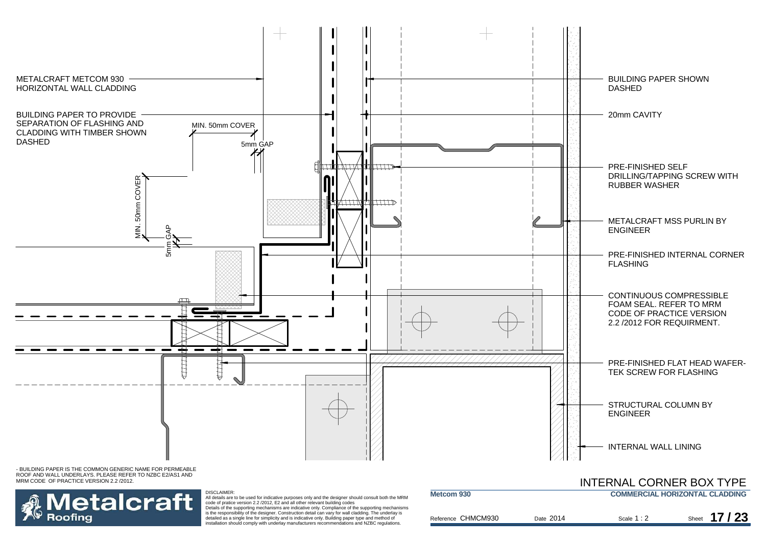

ROOF AND WALL UNDERLAYS. PLEASE REFER TO NZBC E2/AS1 AND MRM CODE OF PRACTICE VERSION 2.2 /2012.



DISCLAIMER: All details are to be used for indicative purposes only and the designer should consult both the MRM<br>code of pratice version 2.2 /2012, E2 and all other relevant building codes<br>Details of the supporting mechanisms are indi

is the responsibility of the designer. Construction detail can vary for wall cladding. The underlay is detailed as a single line for simplicity and is indicative only. Building paper type and method of installation should comply with underlay manufacturers recommendations and NZBC regulations.

|                    |           | <b>INTERNAL CORNER BOX TYPE</b> |                                       |
|--------------------|-----------|---------------------------------|---------------------------------------|
| Metcom 930         |           |                                 | <b>COMMERCIAL HORIZONTAL CLADDING</b> |
| Reference CHMCM930 | Date 2014 | Scale $1:2$                     | Sheet 17/23                           |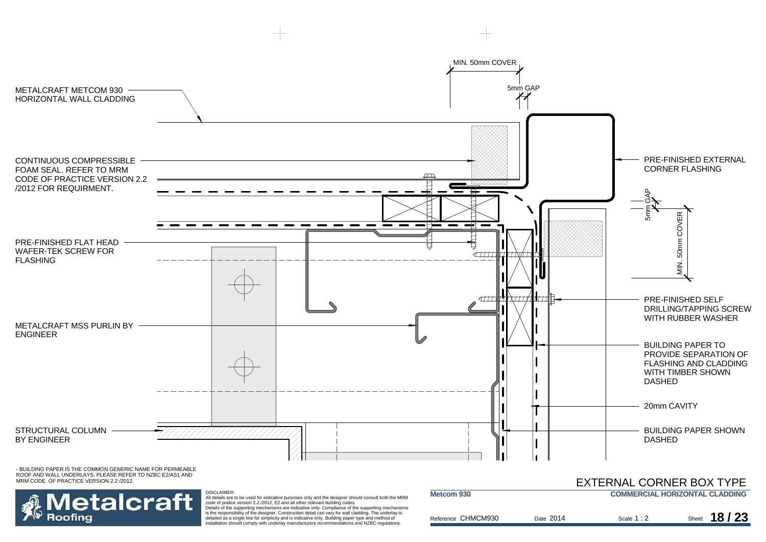

**letalcraft** Roofina

DISCLAIMER: All details are to be used for indicative purposes only and the designer should consult both the MRM code of pratice version 2.2 /2012, E2 and all other relevant building codes Details of the supporting mechanisms are indicative only. Compliance of the supporting mechanisms

is the responsibility of the designer. Construction detail can vary for wall cladding. The underlay is detailed as a single line for simplicity and is indicative only. Building paper type and method of installation should comply with underlay manufacturers recommendations and NZBC regulations.

| Metcom 930 |                    |           | <b>COMMERCIAL HORIZONTAL CLADDING</b> |               |
|------------|--------------------|-----------|---------------------------------------|---------------|
|            |                    |           |                                       |               |
|            |                    |           |                                       |               |
|            |                    |           |                                       |               |
|            | Reference CHMCM930 | Date 2014 | Scale $1:2$                           | Sheet 18 / 23 |
|            |                    |           |                                       |               |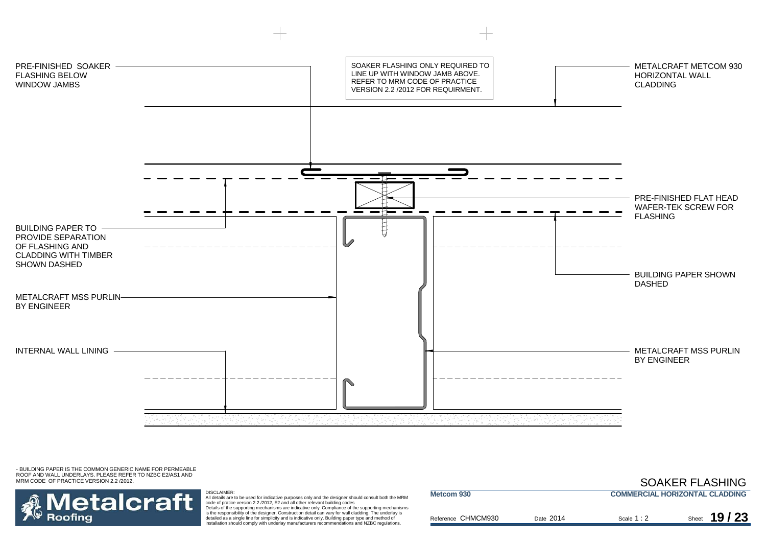



DISCLAIMER:<br>All details are to be used for indicative purposes only and the designer should consult both the MRM<br>Code of pratice version 2.2 /2012, E2 and all other relevant building codes<br>Details of the supporting mechani

detailed as a single line for simplicity and is indicative only. Building paper type and method of installation should comply with underlay manufacturers recommendations and NZBC regulations.

|           |             | <b>COMMERCIAL HORIZONTAL CLADDING</b> |
|-----------|-------------|---------------------------------------|
| Date 2014 | Scale $1:2$ | 19/23<br>Sheet                        |
|           |             |                                       |

SOAKER FLASHING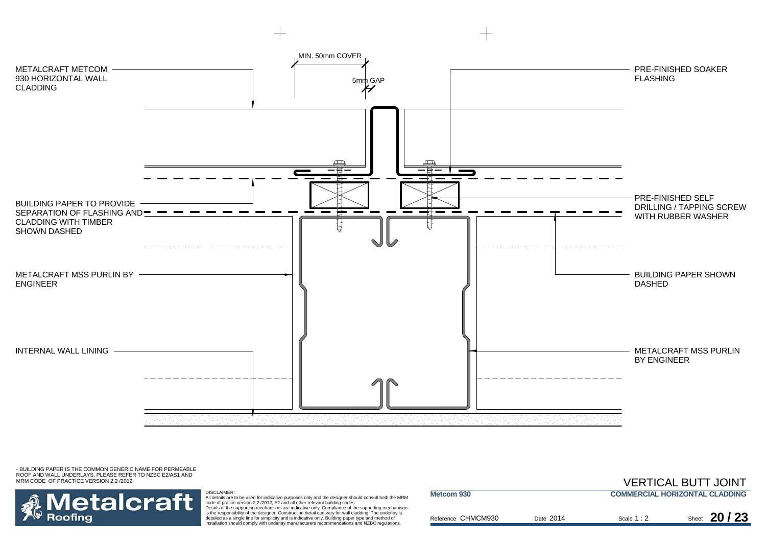

![](_page_20_Picture_2.jpeg)

DISCLAIMER:<br>All details are to be used for indicative purposes only and the designer should consult both the MRM<br>Code of pratice version 2.2 /2012, E2 and all other relevant building codes<br>Details of the supporting mechani

detailed as a single line for simplicity and is indicative only. Building paper type and method of installation should comply with underlay manufacturers recommendations and NZBC regulations.

|           |             | , __________________________          |
|-----------|-------------|---------------------------------------|
|           |             | <b>COMMERCIAL HORIZONTAL CLADDING</b> |
| Date 2014 | Scale $1:2$ | 20/23<br>Sheet                        |
|           |             |                                       |

VERTICAL BUTT JOINT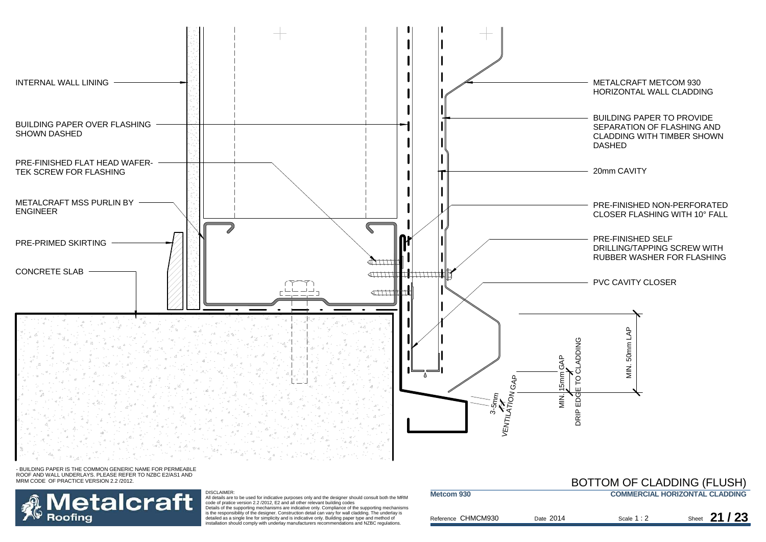![](_page_21_Figure_0.jpeg)

![](_page_21_Picture_2.jpeg)

#### DISCLAIMER:

All details are to be used for indicative purposes only and the designer should consult both the MRM<br>code of pratice version 2.2 /2012, E2 and all other relevant building codes<br>Details of the supporting mechanisms are indi

is the responsibility of the designer. Construction detail can vary for wall cladding. The underlay is detailed as a single line for simplicity and is indicative only. Building paper type and method of installation should comply with underlay manufacturers recommendations and NZBC regulations.

### BOTTOM OF CLADDING (FLUSH)

| Metcom 930         |  |           | <b>COMMERCIAL HORIZONTAL CLADDING</b> |               |
|--------------------|--|-----------|---------------------------------------|---------------|
| Reference CHMCM930 |  | Date 2014 | Scale $1:2$                           | Sheet 21 / 23 |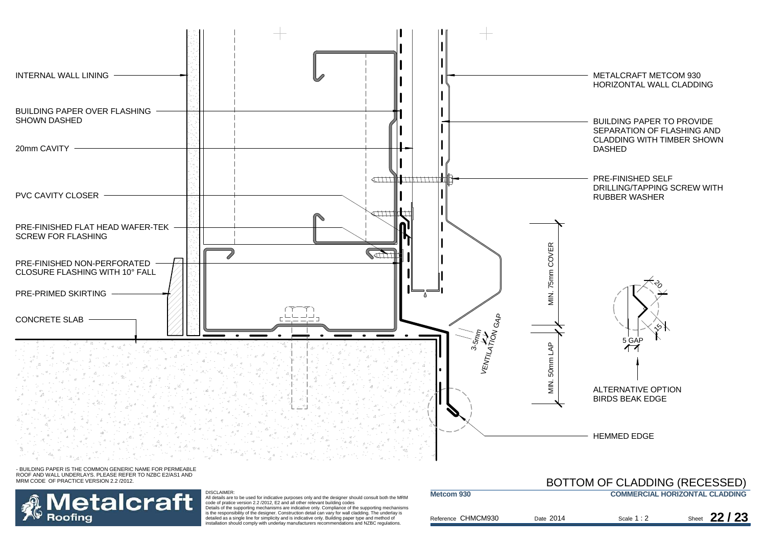![](_page_22_Figure_0.jpeg)

![](_page_22_Picture_2.jpeg)

#### DISCLAIMER:

All details are to be used for indicative purposes only and the designer should consult both the MRM<br>code of pratice version 2.2 /2012, E2 and all other relevant building codes<br>Details of the supporting mechanisms are indi is the responsibility of the designer. Construction detail can vary for wall cladding. The underlay is detailed as a single line for simplicity and is indicative only. Building paper type and method of installation should comply with underlay manufacturers recommendations and NZBC regulations.

|                    |           | BOTTOM OF CLADDING (RECESSED)         |               |
|--------------------|-----------|---------------------------------------|---------------|
| Metcom 930         |           | <b>COMMERCIAL HORIZONTAL CLADDING</b> |               |
| Reference CHMCM930 | Date 2014 | Scale $1:2$                           | Sheet $22/23$ |